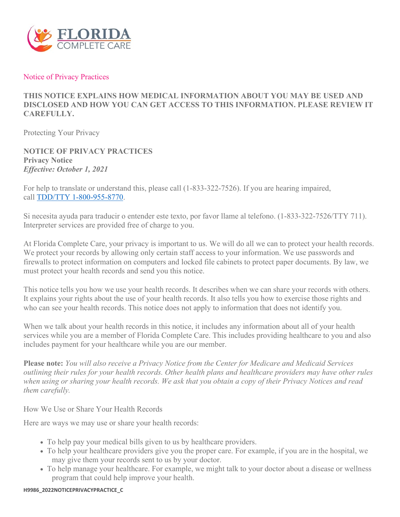

#### Notice of Privacy Practices

# **THIS NOTICE EXPLAINS HOW MEDICAL INFORMATION ABOUT YOU MAY BE USED AND DISCLOSED AND HOW YOU CAN GET ACCESS TO THIS INFORMATION. PLEASE REVIEW IT CAREFULLY.**

Protecting Your Privacy

**NOTICE OF PRIVACY PRACTICES Privacy Notice** *Effective: October 1, 2021* 

For help to translate or understand this, please call (1-833-322-7526). If you are hearing impaired, call [TDD/TTY 1-800-955-8770.](tel:1-800-955-8770)

Si necesita ayuda para traducir o entender este texto, por favor llame al telefono. (1-833-322-7526/TTY 711). Interpreter services are provided free of charge to you.

At Florida Complete Care, your privacy is important to us. We will do all we can to protect your health records. We protect your records by allowing only certain staff access to your information. We use passwords and firewalls to protect information on computers and locked file cabinets to protect paper documents. By law, we must protect your health records and send you this notice.

This notice tells you how we use your health records. It describes when we can share your records with others. It explains your rights about the use of your health records. It also tells you how to exercise those rights and who can see your health records. This notice does not apply to information that does not identify you.

When we talk about your health records in this notice, it includes any information about all of your health services while you are a member of Florida Complete Care. This includes providing healthcare to you and also includes payment for your healthcare while you are our member.

**Please note:** *You will also receive a Privacy Notice from the Center for Medicare and Medicaid Services outlining their rules for your health records. Other health plans and healthcare providers may have other rules when using or sharing your health records. We ask that you obtain a copy of their Privacy Notices and read them carefully.*

How We Use or Share Your Health Records

Here are ways we may use or share your health records:

- To help pay your medical bills given to us by healthcare providers.
- To help your healthcare providers give you the proper care. For example, if you are in the hospital, we may give them your records sent to us by your doctor.
- To help manage your healthcare. For example, we might talk to your doctor about a disease or wellness program that could help improve your health.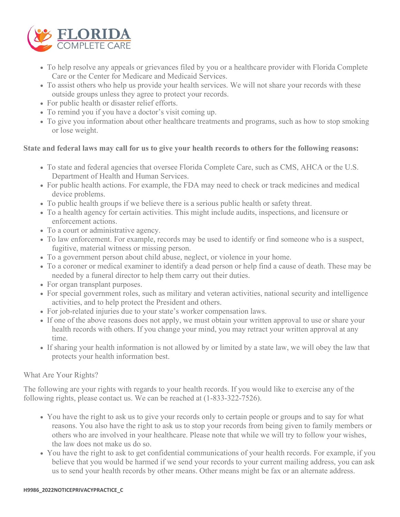

- To help resolve any appeals or grievances filed by you or a healthcare provider with Florida Complete Care or the Center for Medicare and Medicaid Services.
- To assist others who help us provide your health services. We will not share your records with these outside groups unless they agree to protect your records.
- For public health or disaster relief efforts.
- To remind you if you have a doctor's visit coming up.
- To give you information about other healthcare treatments and programs, such as how to stop smoking or lose weight.

## **State and federal laws may call for us to give your health records to others for the following reasons:**

- To state and federal agencies that oversee Florida Complete Care, such as CMS, AHCA or the U.S. Department of Health and Human Services.
- For public health actions. For example, the FDA may need to check or track medicines and medical device problems.
- To public health groups if we believe there is a serious public health or safety threat.
- To a health agency for certain activities. This might include audits, inspections, and licensure or enforcement actions.
- To a court or administrative agency.
- To law enforcement. For example, records may be used to identify or find someone who is a suspect, fugitive, material witness or missing person.
- To a government person about child abuse, neglect, or violence in your home.
- To a coroner or medical examiner to identify a dead person or help find a cause of death. These may be needed by a funeral director to help them carry out their duties.
- For organ transplant purposes.
- For special government roles, such as military and veteran activities, national security and intelligence activities, and to help protect the President and others.
- For job-related injuries due to your state's worker compensation laws.
- If one of the above reasons does not apply, we must obtain your written approval to use or share your health records with others. If you change your mind, you may retract your written approval at any time.
- If sharing your health information is not allowed by or limited by a state law, we will obey the law that protects your health information best.

## What Are Your Rights?

The following are your rights with regards to your health records. If you would like to exercise any of the following rights, please contact us. We can be reached at (1-833-322-7526).

- You have the right to ask us to give your records only to certain people or groups and to say for what reasons. You also have the right to ask us to stop your records from being given to family members or others who are involved in your healthcare. Please note that while we will try to follow your wishes, the law does not make us do so.
- You have the right to ask to get confidential communications of your health records. For example, if you believe that you would be harmed if we send your records to your current mailing address, you can ask us to send your health records by other means. Other means might be fax or an alternate address.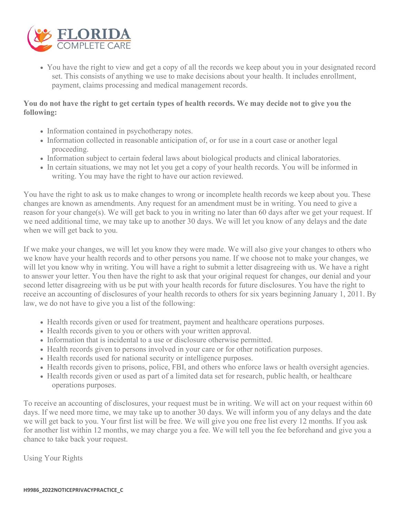

• You have the right to view and get a copy of all the records we keep about you in your designated record set. This consists of anything we use to make decisions about your health. It includes enrollment, payment, claims processing and medical management records.

## **You do not have the right to get certain types of health records. We may decide not to give you the following:**

- Information contained in psychotherapy notes.
- Information collected in reasonable anticipation of, or for use in a court case or another legal proceeding.
- Information subject to certain federal laws about biological products and clinical laboratories.
- In certain situations, we may not let you get a copy of your health records. You will be informed in writing. You may have the right to have our action reviewed.

You have the right to ask us to make changes to wrong or incomplete health records we keep about you. These changes are known as amendments. Any request for an amendment must be in writing. You need to give a reason for your change(s). We will get back to you in writing no later than 60 days after we get your request. If we need additional time, we may take up to another 30 days. We will let you know of any delays and the date when we will get back to you.

If we make your changes, we will let you know they were made. We will also give your changes to others who we know have your health records and to other persons you name. If we choose not to make your changes, we will let you know why in writing. You will have a right to submit a letter disagreeing with us. We have a right to answer your letter. You then have the right to ask that your original request for changes, our denial and your second letter disagreeing with us be put with your health records for future disclosures. You have the right to receive an accounting of disclosures of your health records to others for six years beginning January 1, 2011. By law, we do not have to give you a list of the following:

- Health records given or used for treatment, payment and healthcare operations purposes.
- Health records given to you or others with your written approval.
- Information that is incidental to a use or disclosure otherwise permitted.
- Health records given to persons involved in your care or for other notification purposes.
- Health records used for national security or intelligence purposes.
- Health records given to prisons, police, FBI, and others who enforce laws or health oversight agencies.
- Health records given or used as part of a limited data set for research, public health, or healthcare operations purposes.

To receive an accounting of disclosures, your request must be in writing. We will act on your request within 60 days. If we need more time, we may take up to another 30 days. We will inform you of any delays and the date we will get back to you. Your first list will be free. We will give you one free list every 12 months. If you ask for another list within 12 months, we may charge you a fee. We will tell you the fee beforehand and give you a chance to take back your request.

Using Your Rights